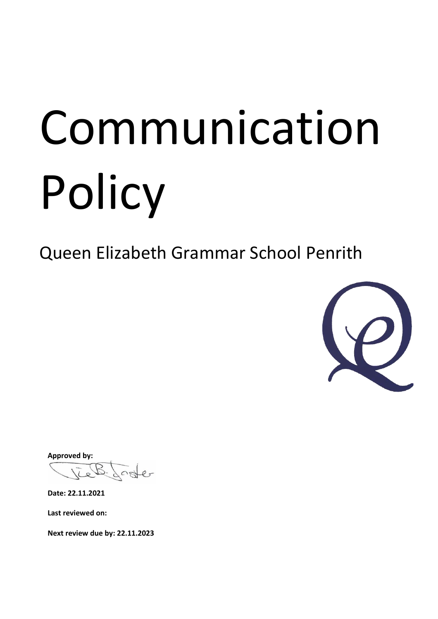# Communication Policy

Queen Elizabeth Grammar School Penrith



**Approved by:**

oster

**Date: 22.11.2021**

**Last reviewed on:**

**Next review due by: 22.11.2023**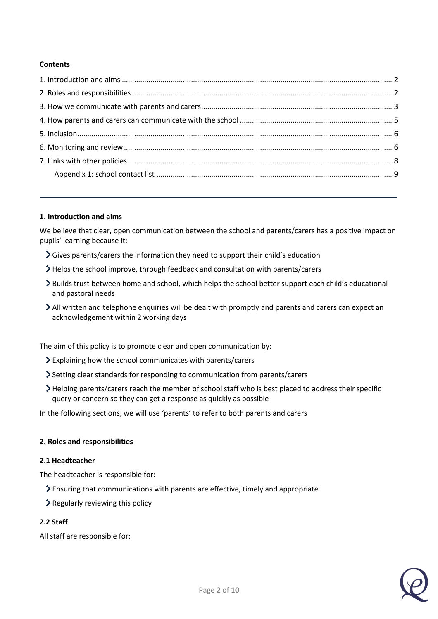# **Contents**

### <span id="page-1-0"></span>**1. Introduction and aims**

We believe that clear, open communication between the school and parents/carers has a positive impact on pupils' learning because it:

- Gives parents/carers the information they need to support their child's education
- Helps the school improve, through feedback and consultation with parents/carers
- Builds trust between home and school, which helps the school better support each child's educational and pastoral needs
- All written and telephone enquiries will be dealt with promptly and parents and carers can expect an acknowledgement within 2 working days

The aim of this policy is to promote clear and open communication by:

- Explaining how the school communicates with parents/carers
- Setting clear standards for responding to communication from parents/carers
- Helping parents/carers reach the member of school staff who is best placed to address their specific query or concern so they can get a response as quickly as possible

In the following sections, we will use 'parents' to refer to both parents and carers

### <span id="page-1-1"></span>**2. Roles and responsibilities**

### **2.1 Headteacher**

The headteacher is responsible for:

- Ensuring that communications with parents are effective, timely and appropriate
- $\sum$  Regularly reviewing this policy

# **2.2 Staff**

All staff are responsible for: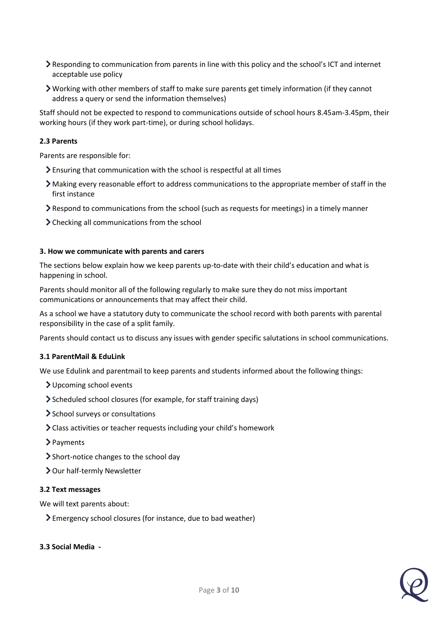- Responding to communication from parents in line with this policy and the school's ICT and internet acceptable use policy
- Working with other members of staff to make sure parents get timely information (if they cannot address a query or send the information themselves)

Staff should not be expected to respond to communications outside of school hours 8.45am-3.45pm, their working hours (if they work part-time), or during school holidays.

# **2.3 Parents**

Parents are responsible for:

- Ensuring that communication with the school is respectful at all times
- Making every reasonable effort to address communications to the appropriate member of staff in the first instance
- Respond to communications from the school (such as requests for meetings) in a timely manner
- > Checking all communications from the school

### <span id="page-2-0"></span>**3. How we communicate with parents and carers**

The sections below explain how we keep parents up-to-date with their child's education and what is happening in school.

Parents should monitor all of the following regularly to make sure they do not miss important communications or announcements that may affect their child.

As a school we have a statutory duty to communicate the school record with both parents with parental responsibility in the case of a split family.

Parents should contact us to discuss any issues with gender specific salutations in school communications.

### **3.1 ParentMail & EduLink**

We use Edulink and parentmail to keep parents and students informed about the following things:

- Upcoming school events
- Scheduled school closures (for example, for staff training days)
- > School surveys or consultations
- Class activities or teacher requests including your child's homework
- > Payments
- Short-notice changes to the school day
- > Our half-termly Newsletter

### **3.2 Text messages**

We will text parents about:

Emergency school closures (for instance, due to bad weather)

### **3.3 Social Media -**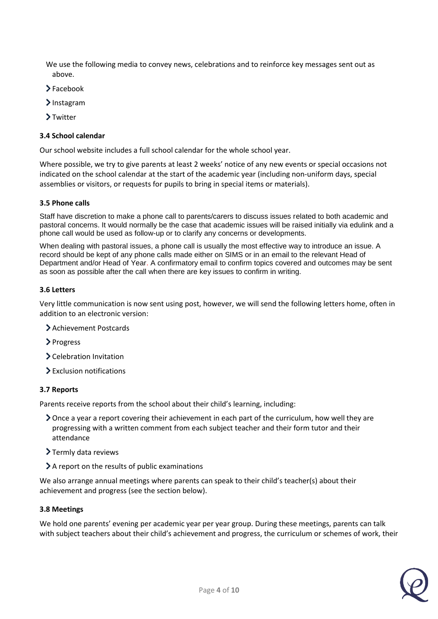We use the following media to convey news, celebrations and to reinforce key messages sent out as above.

- >Facebook
- > Instagram
- >Twitter

### **3.4 School calendar**

Our school website includes a full school calendar for the whole school year.

Where possible, we try to give parents at least 2 weeks' notice of any new events or special occasions not indicated on the school calendar at the start of the academic year (including non-uniform days, special assemblies or visitors, or requests for pupils to bring in special items or materials).

### **3.5 Phone calls**

Staff have discretion to make a phone call to parents/carers to discuss issues related to both academic and pastoral concerns. It would normally be the case that academic issues will be raised initially via edulink and a phone call would be used as follow-up or to clarify any concerns or developments.

When dealing with pastoral issues, a phone call is usually the most effective way to introduce an issue. A record should be kept of any phone calls made either on SIMS or in an email to the relevant Head of Department and/or Head of Year. A confirmatory email to confirm topics covered and outcomes may be sent as soon as possible after the call when there are key issues to confirm in writing.

### **3.6 Letters**

Very little communication is now sent using post, however, we will send the following letters home, often in addition to an electronic version:

- Achievement Postcards
- > Progress
- Celebration Invitation
- Exclusion notifications

### **3.7 Reports**

Parents receive reports from the school about their child's learning, including:

- Once a year a report covering their achievement in each part of the curriculum, how well they are progressing with a written comment from each subject teacher and their form tutor and their attendance
- $\sum$  Termly data reviews
- A report on the results of public examinations

We also arrange annual meetings where parents can speak to their child's teacher(s) about their achievement and progress (see the section below).

### **3.8 Meetings**

We hold one parents' evening per academic year per year group. During these meetings, parents can talk with subject teachers about their child's achievement and progress, the curriculum or schemes of work, their

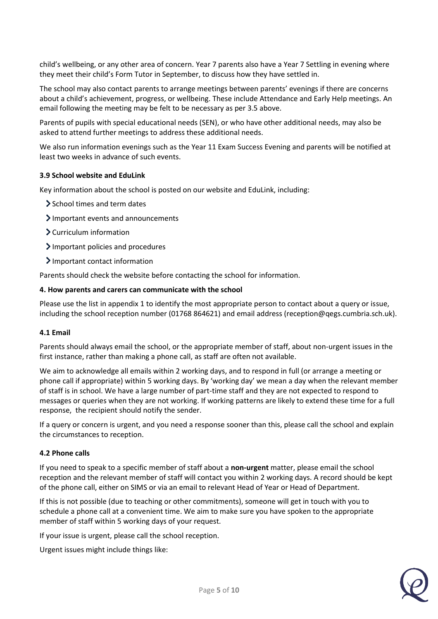child's wellbeing, or any other area of concern. Year 7 parents also have a Year 7 Settling in evening where they meet their child's Form Tutor in September, to discuss how they have settled in.

The school may also contact parents to arrange meetings between parents' evenings if there are concerns about a child's achievement, progress, or wellbeing. These include Attendance and Early Help meetings. An email following the meeting may be felt to be necessary as per 3.5 above.

Parents of pupils with special educational needs (SEN), or who have other additional needs, may also be asked to attend further meetings to address these additional needs.

We also run information evenings such as the Year 11 Exam Success Evening and parents will be notified at least two weeks in advance of such events.

# **3.9 School website and EduLink**

Key information about the school is posted on our website and EduLink, including:

- School times and term dates
- Important events and announcements
- Curriculum information
- Important policies and procedures
- Important contact information

Parents should check the website before contacting the school for information.

### <span id="page-4-0"></span>**4. How parents and carers can communicate with the school**

Please use the list in appendix 1 to identify the most appropriate person to contact about a query or issue, including the school reception number (01768 864621) and email address (reception@qegs.cumbria.sch.uk).

### **4.1 Email**

Parents should always email the school, or the appropriate member of staff, about non-urgent issues in the first instance, rather than making a phone call, as staff are often not available.

We aim to acknowledge all emails within 2 working days, and to respond in full (or arrange a meeting or phone call if appropriate) within 5 working days. By 'working day' we mean a day when the relevant member of staff is in school. We have a large number of part-time staff and they are not expected to respond to messages or queries when they are not working. If working patterns are likely to extend these time for a full response, the recipient should notify the sender.

If a query or concern is urgent, and you need a response sooner than this, please call the school and explain the circumstances to reception.

### **4.2 Phone calls**

If you need to speak to a specific member of staff about a **non-urgent** matter, please email the school reception and the relevant member of staff will contact you within 2 working days. A record should be kept of the phone call, either on SIMS or via an email to relevant Head of Year or Head of Department.

If this is not possible (due to teaching or other commitments), someone will get in touch with you to schedule a phone call at a convenient time. We aim to make sure you have spoken to the appropriate member of staff within 5 working days of your request.

If your issue is urgent, please call the school reception.

Urgent issues might include things like:

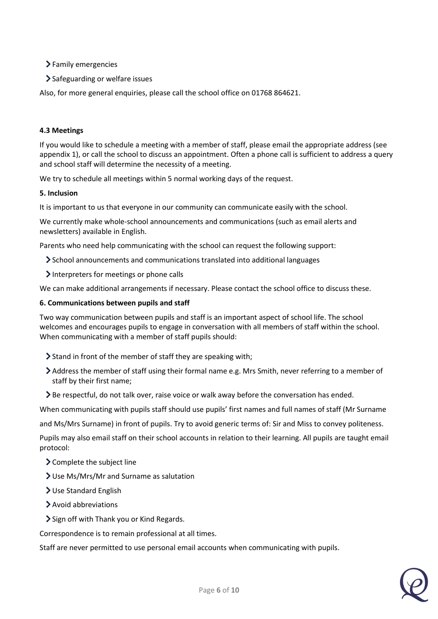> Family emergencies

> Safeguarding or welfare issues

Also, for more general enquiries, please call the school office on 01768 864621.

# **4.3 Meetings**

If you would like to schedule a meeting with a member of staff, please email the appropriate address (see appendix 1), or call the school to discuss an appointment. Often a phone call is sufficient to address a query and school staff will determine the necessity of a meeting.

We try to schedule all meetings within 5 normal working days of the request.

# <span id="page-5-0"></span>**5. Inclusion**

It is important to us that everyone in our community can communicate easily with the school.

We currently make whole-school announcements and communications (such as email alerts and newsletters) available in English.

Parents who need help communicating with the school can request the following support:

- School announcements and communications translated into additional languages
- Interpreters for meetings or phone calls

We can make additional arrangements if necessary. Please contact the school office to discuss these.

# **6. Communications between pupils and staff**

Two way communication between pupils and staff is an important aspect of school life. The school welcomes and encourages pupils to engage in conversation with all members of staff within the school. When communicating with a member of staff pupils should:

- Stand in front of the member of staff they are speaking with;
- Address the member of staff using their formal name e.g. Mrs Smith, never referring to a member of staff by their first name;
- Be respectful, do not talk over, raise voice or walk away before the conversation has ended.

When communicating with pupils staff should use pupils' first names and full names of staff (Mr Surname

and Ms/Mrs Surname) in front of pupils. Try to avoid generic terms of: Sir and Miss to convey politeness.

Pupils may also email staff on their school accounts in relation to their learning. All pupils are taught email protocol:

- Complete the subject line
- Use Ms/Mrs/Mr and Surname as salutation
- Use Standard English
- Avoid abbreviations
- Sign off with Thank you or Kind Regards.

Correspondence is to remain professional at all times.

Staff are never permitted to use personal email accounts when communicating with pupils.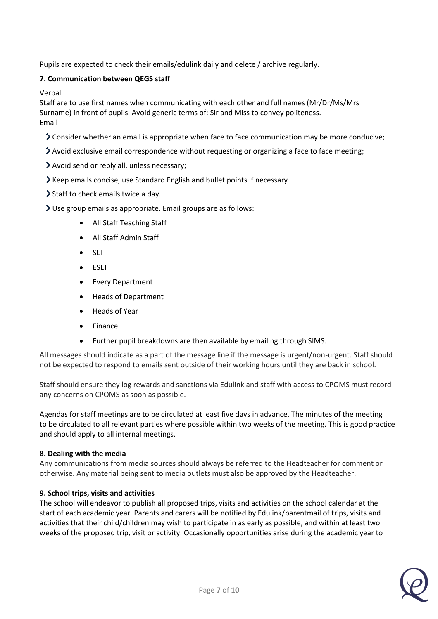Pupils are expected to check their emails/edulink daily and delete / archive regularly.

# **7. Communication between QEGS staff**

Verbal

Staff are to use first names when communicating with each other and full names (Mr/Dr/Ms/Mrs Surname) in front of pupils. Avoid generic terms of: Sir and Miss to convey politeness. Email

- Consider whether an email is appropriate when face to face communication may be more conducive;
- Avoid exclusive email correspondence without requesting or organizing a face to face meeting;
- Avoid send or reply all, unless necessary;
- Keep emails concise, use Standard English and bullet points if necessary
- Staff to check emails twice a day.
- Use group emails as appropriate. Email groups are as follows:
	- All Staff Teaching Staff
	- All Staff Admin Staff
	- SLT
	- ESLT
	- Every Department
	- Heads of Department
	- Heads of Year
	- Finance
	- Further pupil breakdowns are then available by emailing through SIMS.

All messages should indicate as a part of the message line if the message is urgent/non-urgent. Staff should not be expected to respond to emails sent outside of their working hours until they are back in school.

Staff should ensure they log rewards and sanctions via Edulink and staff with access to CPOMS must record any concerns on CPOMS as soon as possible.

Agendas for staff meetings are to be circulated at least five days in advance. The minutes of the meeting to be circulated to all relevant parties where possible within two weeks of the meeting. This is good practice and should apply to all internal meetings.

# **8. Dealing with the media**

Any communications from media sources should always be referred to the Headteacher for comment or otherwise. Any material being sent to media outlets must also be approved by the Headteacher.

# **9. School trips, visits and activities**

The school will endeavor to publish all proposed trips, visits and activities on the school calendar at the start of each academic year. Parents and carers will be notified by Edulink/parentmail of trips, visits and activities that their child/children may wish to participate in as early as possible, and within at least two weeks of the proposed trip, visit or activity. Occasionally opportunities arise during the academic year to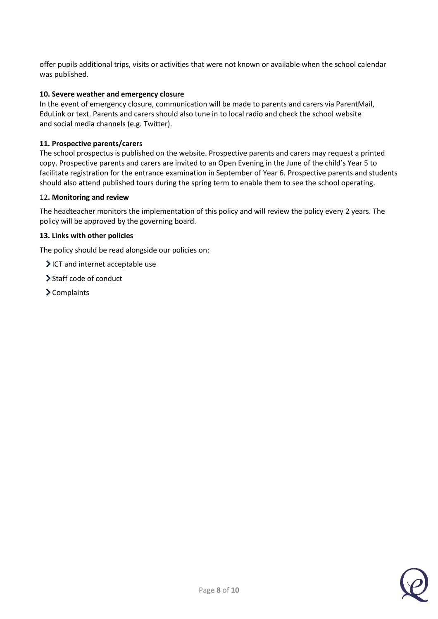offer pupils additional trips, visits or activities that were not known or available when the school calendar was published.

# **10. Severe weather and emergency closure**

In the event of emergency closure, communication will be made to parents and carers via ParentMail, EduLink or text. Parents and carers should also tune in to local radio and check the school website and social media channels (e.g. Twitter).

## **11. Prospective parents/carers**

The school prospectus is published on the website. Prospective parents and carers may request a printed copy. Prospective parents and carers are invited to an Open Evening in the June of the child's Year 5 to facilitate registration for the entrance examination in September of Year 6. Prospective parents and students should also attend published tours during the spring term to enable them to see the school operating.

### <span id="page-7-0"></span>12**. Monitoring and review**

The headteacher monitors the implementation of this policy and will review the policy every 2 years. The policy will be approved by the governing board.

### <span id="page-7-1"></span>**13. Links with other policies**

The policy should be read alongside our policies on:

- ICT and internet acceptable use
- > Staff code of conduct
- > Complaints

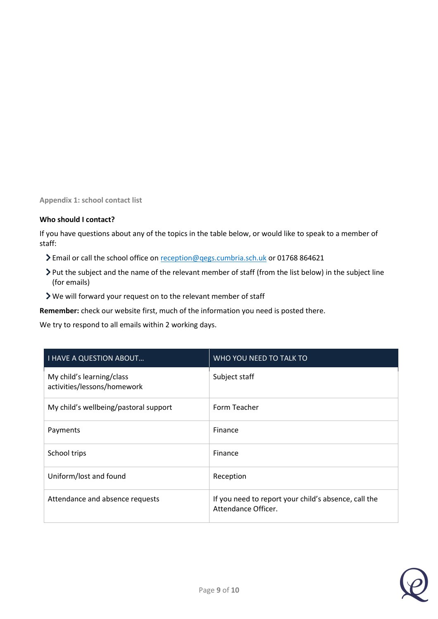<span id="page-8-0"></span>**Appendix 1: school contact list**

# **Who should I contact?**

If you have questions about any of the topics in the table below, or would like to speak to a member of staff:

- > Email or call the school office on [reception@qegs.cumbria.sch.uk](mailto:reception@qegs.cumbria.sch.uk) or 01768 864621
- Put the subject and the name of the relevant member of staff (from the list below) in the subject line (for emails)
- We will forward your request on to the relevant member of staff

**Remember:** check our website first, much of the information you need is posted there.

We try to respond to all emails within 2 working days.

| <b>I HAVE A QUESTION ABOUT</b>                           | <b>WHO YOU NEED TO TALK TO</b>                                              |
|----------------------------------------------------------|-----------------------------------------------------------------------------|
| My child's learning/class<br>activities/lessons/homework | Subject staff                                                               |
| My child's wellbeing/pastoral support                    | Form Teacher                                                                |
| Payments                                                 | Finance                                                                     |
| School trips                                             | Finance                                                                     |
| Uniform/lost and found                                   | Reception                                                                   |
| Attendance and absence requests                          | If you need to report your child's absence, call the<br>Attendance Officer. |